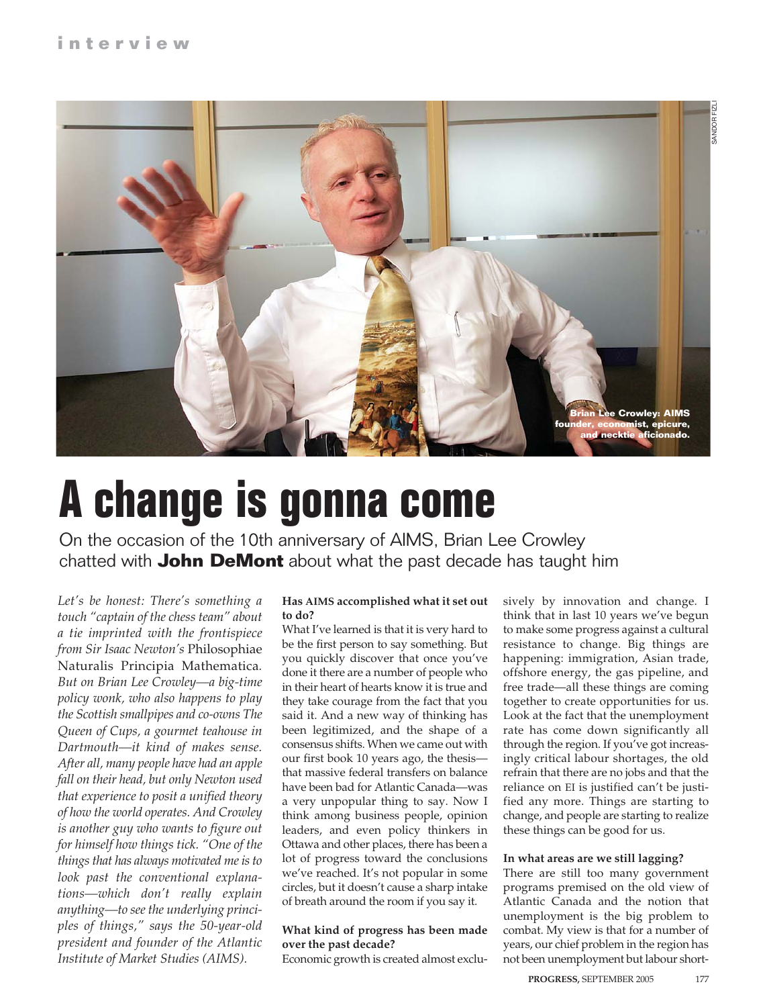

## **A change is gonna come**

On the occasion of the 10th anniversary of AIMS, Brian Lee Crowley chatted with **John DeMont** about what the past decade has taught him

*Let's be honest: There's something a touch "captain of the chess team" about a tie imprinted with the frontispiece from Sir Isaac Newton's* Philosophiae Naturalis Principia Mathematica*. But on Brian Lee Crowley—a big-time policy wonk, who also happens to play the Scottish smallpipes and co-owns The Queen of Cups, a gourmet teahouse in Dartmouth—it kind of makes sense. After all, many people have had an apple fall on their head, but only Newton used that experience to posit a unified theory of how the world operates. And Crowley is another guy who wants to figure out for himself how things tick. "One of the things that has always motivated me is to look past the conventional explanations—which don't really explain anything—to see the underlying principles of things," says the 50-year-old president and founder of the Atlantic Institute of Market Studies (AIMS).*

#### **Has AIMS accomplished what it set out to do?**

What I've learned is that it is very hard to be the first person to say something. But you quickly discover that once you've done it there are a number of people who in their heart of hearts know it is true and they take courage from the fact that you said it. And a new way of thinking has been legitimized, and the shape of a consensus shifts. When we came out with our first book 10 years ago, the thesis that massive federal transfers on balance have been bad for Atlantic Canada—was a very unpopular thing to say. Now I think among business people, opinion leaders, and even policy thinkers in Ottawa and other places, there has been a lot of progress toward the conclusions we've reached. It's not popular in some circles, but it doesn't cause a sharp intake of breath around the room if you say it.

#### **What kind of progress has been made over the past decade?**

Economic growth is created almost exclu-

sively by innovation and change. I think that in last 10 years we've begun to make some progress against a cultural resistance to change. Big things are happening: immigration, Asian trade, offshore energy, the gas pipeline, and free trade—all these things are coming together to create opportunities for us. Look at the fact that the unemployment rate has come down significantly all through the region. If you've got increasingly critical labour shortages, the old refrain that there are no jobs and that the reliance on EI is justified can't be justified any more. Things are starting to change, and people are starting to realize these things can be good for us.

#### **In what areas are we still lagging?**

There are still too many government programs premised on the old view of Atlantic Canada and the notion that unemployment is the big problem to combat. My view is that for a number of years, our chief problem in the region has not been unemployment but labour short-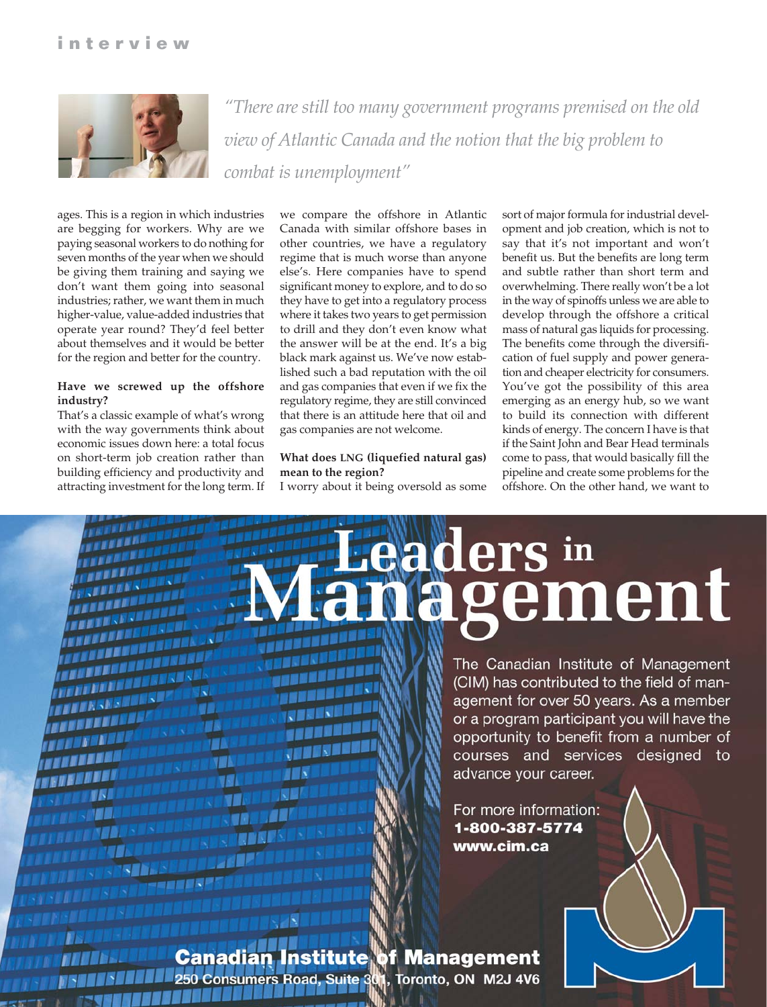

*"There are still too many government programs premised on the old view of Atlantic Canada and the notion that the big problem to combat is unemployment"*

ages. This is a region in which industries are begging for workers. Why are we paying seasonal workers to do nothing for seven months of the year when we should be giving them training and saying we don't want them going into seasonal industries; rather, we want them in much higher-value, value-added industries that operate year round? They'd feel better about themselves and it would be better for the region and better for the country.

#### **Have we screwed up the offshore industry?**

That's a classic example of what's wrong with the way governments think about economic issues down here: a total focus on short-term job creation rather than building efficiency and productivity and attracting investment for the long term. If

TГ

**ARKES** 

we compare the offshore in Atlantic Canada with similar offshore bases in other countries, we have a regulatory regime that is much worse than anyone else's. Here companies have to spend significant money to explore, and to do so they have to get into a regulatory process where it takes two years to get permission to drill and they don't even know what the answer will be at the end. It's a big black mark against us. We've now established such a bad reputation with the oil and gas companies that even if we fix the regulatory regime, they are still convinced that there is an attitude here that oil and gas companies are not welcome.

#### **What does LNG (liquefied natural gas) mean to the region?**

I worry about it being oversold as some

sort of major formula for industrial development and job creation, which is not to say that it's not important and won't benefit us. But the benefits are long term and subtle rather than short term and overwhelming. There really won't be a lot in the way of spinoffs unless we are able to develop through the offshore a critical mass of natural gas liquids for processing. The benefits come through the diversification of fuel supply and power generation and cheaper electricity for consumers. You've got the possibility of this area emerging as an energy hub, so we want to build its connection with different kinds of energy. The concern I have is that if the Saint John and Bear Head terminals come to pass, that would basically fill the pipeline and create some problems for the offshore. On the other hand, we want to

# **ers** in rement

The Canadian Institute of Management (CIM) has contributed to the field of management for over 50 years. As a member or a program participant you will have the opportunity to benefit from a number of courses and services designed to advance your career.

For more information: 1-800-387-5774 www.cim.ca

Canadian titute f Management **250 Consumers Road** Toronto, ON M2J 4V6 Suite<sub>3</sub>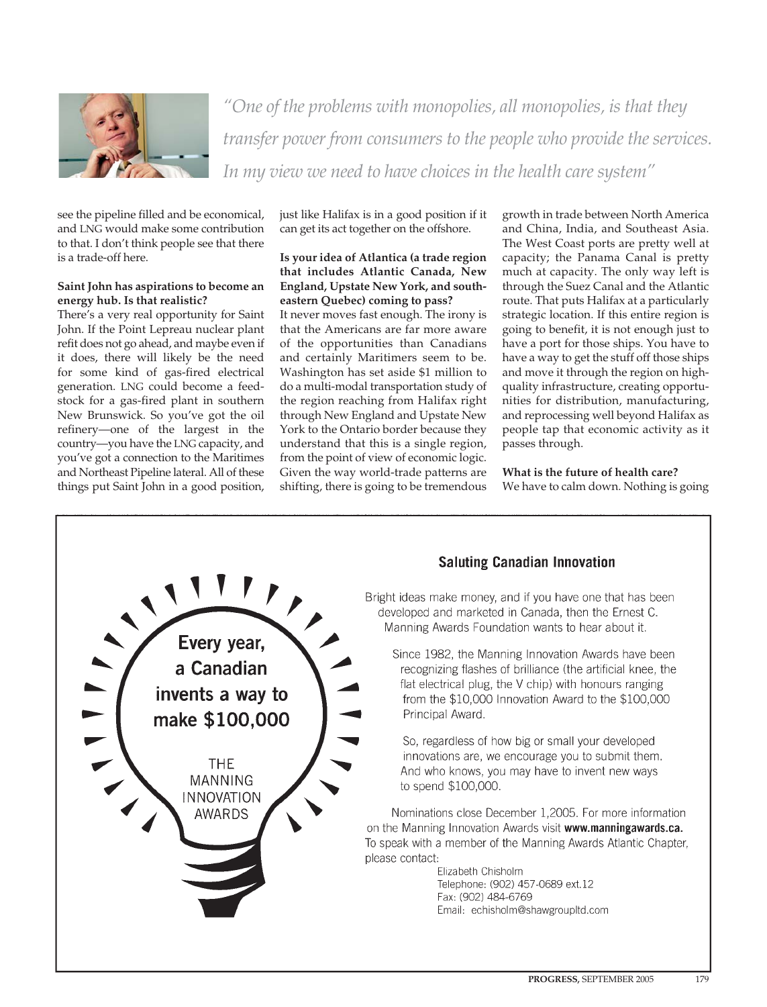

*"One of the problems with monopolies, all monopolies, is that they transfer power from consumers to the people who provide the services. In my view we need to have choices in the health care system"*

see the pipeline filled and be economical, and LNG would make some contribution to that. I don't think people see that there is a trade-off here.

#### **Saint John has aspirations to become an energy hub. Is that realistic?**

There's a very real opportunity for Saint John. If the Point Lepreau nuclear plant refit does not go ahead, and maybe even if it does, there will likely be the need for some kind of gas-fired electrical generation. LNG could become a feedstock for a gas-fired plant in southern New Brunswick. So you've got the oil refinery—one of the largest in the country—you have the LNG capacity, and you've got a connection to the Maritimes and Northeast Pipeline lateral. All of these things put Saint John in a good position, just like Halifax is in a good position if it can get its act together on the offshore.

#### **Is your idea of Atlantica (a trade region that includes Atlantic Canada, New England, Upstate New York, and southeastern Quebec) coming to pass?**

It never moves fast enough. The irony is that the Americans are far more aware of the opportunities than Canadians and certainly Maritimers seem to be. Washington has set aside \$1 million to do a multi-modal transportation study of the region reaching from Halifax right through New England and Upstate New York to the Ontario border because they understand that this is a single region, from the point of view of economic logic. Given the way world-trade patterns are shifting, there is going to be tremendous

growth in trade between North America and China, India, and Southeast Asia. The West Coast ports are pretty well at capacity; the Panama Canal is pretty much at capacity. The only way left is through the Suez Canal and the Atlantic route. That puts Halifax at a particularly strategic location. If this entire region is going to benefit, it is not enough just to have a port for those ships. You have to have a way to get the stuff off those ships and move it through the region on highquality infrastructure, creating opportunities for distribution, manufacturing, and reprocessing well beyond Halifax as people tap that economic activity as it passes through.

**What is the future of health care?** We have to calm down. Nothing is going

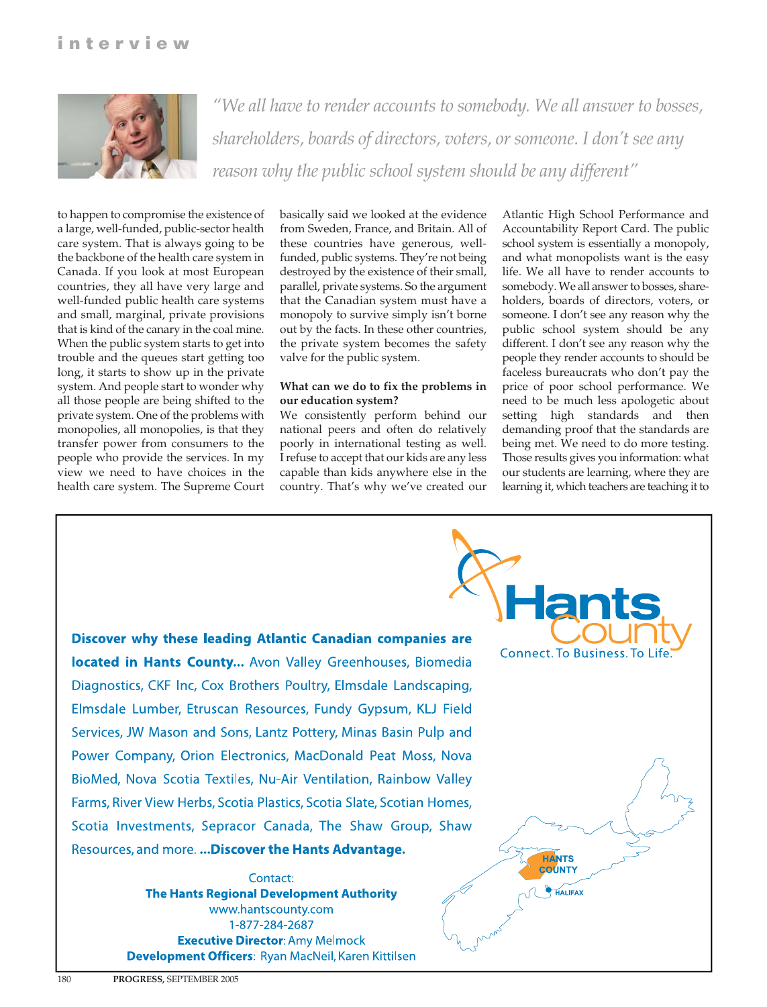

*"We all have to render accounts to somebody. We all answer to bosses, shareholders, boards of directors, voters, or someone. I don't see any reason why the public school system should be any different"*

to happen to compromise the existence of a large, well-funded, public-sector health care system. That is always going to be the backbone of the health care system in Canada. If you look at most European countries, they all have very large and well-funded public health care systems and small, marginal, private provisions that is kind of the canary in the coal mine. When the public system starts to get into trouble and the queues start getting too long, it starts to show up in the private system. And people start to wonder why all those people are being shifted to the private system. One of the problems with monopolies, all monopolies, is that they transfer power from consumers to the people who provide the services. In my view we need to have choices in the health care system. The Supreme Court basically said we looked at the evidence from Sweden, France, and Britain. All of these countries have generous, wellfunded, public systems. They're not being destroyed by the existence of their small, parallel, private systems. So the argument that the Canadian system must have a monopoly to survive simply isn't borne out by the facts. In these other countries, the private system becomes the safety valve for the public system.

#### **What can we do to fix the problems in our education system?**

We consistently perform behind our national peers and often do relatively poorly in international testing as well. I refuse to accept that our kids are any less capable than kids anywhere else in the country. That's why we've created our

Atlantic High School Performance and Accountability Report Card. The public school system is essentially a monopoly, and what monopolists want is the easy life. We all have to render accounts to somebody. We all answer to bosses, shareholders, boards of directors, voters, or someone. I don't see any reason why the public school system should be any different. I don't see any reason why the people they render accounts to should be faceless bureaucrats who don't pay the price of poor school performance. We need to be much less apologetic about setting high standards and then demanding proof that the standards are being met. We need to do more testing. Those results gives you information: what our students are learning, where they are learning it, which teachers are teaching it to

**Connect. To Business. To Life** 

**HANTS COUNTY** 

**HALIFAX** 

Discover why these leading Atlantic Canadian companies are located in Hants County... Avon Valley Greenhouses, Biomedia Diagnostics, CKF Inc, Cox Brothers Poultry, Elmsdale Landscaping, Elmsdale Lumber, Etruscan Resources, Fundy Gypsum, KLJ Field Services, JW Mason and Sons, Lantz Pottery, Minas Basin Pulp and Power Company, Orion Electronics, MacDonald Peat Moss, Nova BioMed, Nova Scotia Textiles, Nu-Air Ventilation, Rainbow Valley Farms, River View Herbs, Scotia Plastics, Scotia Slate, Scotian Homes, Scotia Investments, Sepracor Canada, The Shaw Group, Shaw Resources, and more. ... Discover the Hants Advantage.

> Contact: **The Hants Regional Development Authority** www.hantscounty.com 1-877-284-2687 **Executive Director: Amy Melmock Development Officers: Ryan MacNeil, Karen Kittilsen**